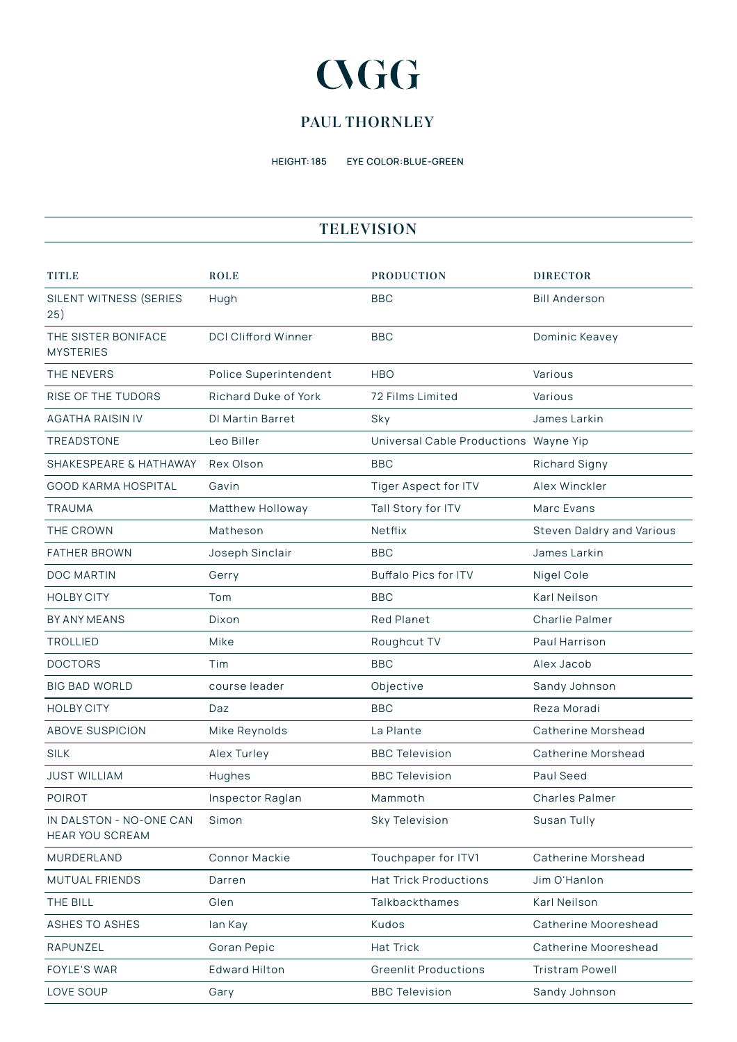# **CGG**

## **PAUL THORNLEY**

HEIGHT: 185 EYE COLOR:BLUE-GREEN

#### **TELEVISION**

| <b>TITLE</b>                                      | <b>ROLE</b>                | <b>PRODUCTION</b>                     | <b>DIRECTOR</b>           |
|---------------------------------------------------|----------------------------|---------------------------------------|---------------------------|
| SILENT WITNESS (SERIES<br>25)                     | Hugh                       | <b>BBC</b>                            | <b>Bill Anderson</b>      |
| THE SISTER BONIFACE<br><b>MYSTERIES</b>           | <b>DCI Clifford Winner</b> | <b>BBC</b>                            | Dominic Keavey            |
| THE NEVERS                                        | Police Superintendent      | <b>HBO</b>                            | Various                   |
| <b>RISE OF THE TUDORS</b>                         | Richard Duke of York       | 72 Films Limited                      | Various                   |
| <b>AGATHA RAISIN IV</b>                           | <b>DI Martin Barret</b>    | Sky                                   | James Larkin              |
| TREADSTONE                                        | Leo Biller                 | Universal Cable Productions Wayne Yip |                           |
| SHAKESPEARE & HATHAWAY                            | Rex Olson                  | <b>BBC</b>                            | Richard Signy             |
| <b>GOOD KARMA HOSPITAL</b>                        | Gavin                      | Tiger Aspect for ITV                  | Alex Winckler             |
| <b>TRAUMA</b>                                     | Matthew Holloway           | Tall Story for ITV                    | Marc Evans                |
| THE CROWN                                         | Matheson                   | Netflix                               | Steven Daldry and Various |
| <b>FATHER BROWN</b>                               | Joseph Sinclair            | <b>BBC</b>                            | James Larkin              |
| <b>DOC MARTIN</b>                                 | Gerry                      | <b>Buffalo Pics for ITV</b>           | Nigel Cole                |
| <b>HOLBY CITY</b>                                 | Tom                        | <b>BBC</b>                            | Karl Neilson              |
| BY ANY MEANS                                      | Dixon                      | <b>Red Planet</b>                     | <b>Charlie Palmer</b>     |
| <b>TROLLIED</b>                                   | Mike                       | Roughcut TV                           | Paul Harrison             |
| <b>DOCTORS</b>                                    | Tim                        | <b>BBC</b>                            | Alex Jacob                |
| <b>BIG BAD WORLD</b>                              | course leader              | Objective                             | Sandy Johnson             |
| <b>HOLBY CITY</b>                                 | Daz                        | <b>BBC</b>                            | Reza Moradi               |
| <b>ABOVE SUSPICION</b>                            | Mike Reynolds              | La Plante                             | Catherine Morshead        |
| <b>SILK</b>                                       | Alex Turley                | <b>BBC Television</b>                 | Catherine Morshead        |
| <b>JUST WILLIAM</b>                               | Hughes                     | <b>BBC Television</b>                 | Paul Seed                 |
| <b>POIROT</b>                                     | Inspector Raglan           | Mammoth                               | <b>Charles Palmer</b>     |
| IN DALSTON - NO-ONE CAN<br><b>HEAR YOU SCREAM</b> | Simon                      | Sky Television                        | Susan Tully               |
| MURDERLAND                                        | Connor Mackie              | Touchpaper for ITV1                   | Catherine Morshead        |
| MUTUAL FRIENDS                                    | Darren                     | <b>Hat Trick Productions</b>          | Jim O'Hanlon              |
| THE BILL                                          | Glen                       | Talkbackthames                        | Karl Neilson              |
| <b>ASHES TO ASHES</b>                             | lan Kay                    | Kudos                                 | Catherine Mooreshead      |
| RAPUNZEL                                          | Goran Pepic                | <b>Hat Trick</b>                      | Catherine Mooreshead      |
| FOYLE'S WAR                                       | <b>Edward Hilton</b>       | <b>Greenlit Productions</b>           | <b>Tristram Powell</b>    |
| LOVE SOUP                                         | Gary                       | <b>BBC Television</b>                 | Sandy Johnson             |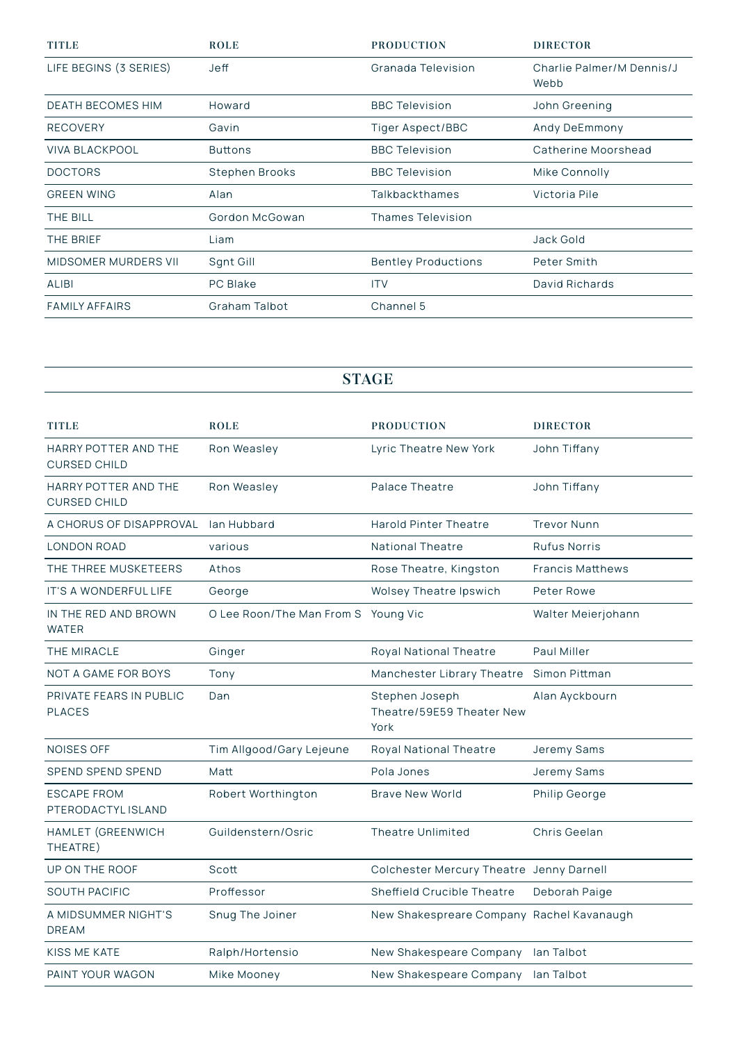| <b>TITLE</b>                | <b>ROLE</b>     | <b>PRODUCTION</b>          | <b>DIRECTOR</b>                   |
|-----------------------------|-----------------|----------------------------|-----------------------------------|
| LIFE BEGINS (3 SERIES)      | Jeff            | Granada Television         | Charlie Palmer/M Dennis/J<br>Webb |
| <b>DEATH BECOMES HIM</b>    | Howard          | <b>BBC Television</b>      | John Greening                     |
| <b>RECOVERY</b>             | Gavin           | Tiger Aspect/BBC           | Andy DeEmmony                     |
| <b>VIVA BLACKPOOL</b>       | <b>Buttons</b>  | <b>BBC Television</b>      | Catherine Moorshead               |
| <b>DOCTORS</b>              | Stephen Brooks  | <b>BBC Television</b>      | Mike Connolly                     |
| <b>GREEN WING</b>           | Alan            | Talkbackthames             | Victoria Pile                     |
| THE BILL                    | Gordon McGowan  | <b>Thames Television</b>   |                                   |
| THE BRIEF                   | Liam            |                            | Jack Gold                         |
| <b>MIDSOMER MURDERS VII</b> | Sgnt Gill       | <b>Bentley Productions</b> | Peter Smith                       |
| <b>ALIBI</b>                | <b>PC Blake</b> | <b>ITV</b>                 | David Richards                    |
| <b>FAMILY AFFAIRS</b>       | Graham Talbot   | Channel 5                  |                                   |

### **STAGE**

| <b>TITLE</b>                                | <b>ROLE</b>                         | <b>PRODUCTION</b>                                   | <b>DIRECTOR</b>         |
|---------------------------------------------|-------------------------------------|-----------------------------------------------------|-------------------------|
| HARRY POTTER AND THE<br><b>CURSED CHILD</b> | Ron Weasley                         | Lyric Theatre New York                              | John Tiffany            |
| HARRY POTTER AND THE<br><b>CURSED CHILD</b> | Ron Weasley                         | Palace Theatre                                      | John Tiffany            |
| A CHORUS OF DISAPPROVAL                     | lan Hubbard                         | <b>Harold Pinter Theatre</b>                        | <b>Trevor Nunn</b>      |
| <b>LONDON ROAD</b>                          | various                             | <b>National Theatre</b>                             | <b>Rufus Norris</b>     |
| THE THREE MUSKETEERS                        | Athos                               | Rose Theatre, Kingston                              | <b>Francis Matthews</b> |
| IT'S A WONDERFUL LIFE                       | George                              | <b>Wolsey Theatre Ipswich</b>                       | Peter Rowe              |
| IN THE RED AND BROWN<br><b>WATER</b>        | O Lee Roon/The Man From S Young Vic |                                                     | Walter Meierjohann      |
| THE MIRACLE                                 | Ginger                              | Royal National Theatre                              | Paul Miller             |
| <b>NOT A GAME FOR BOYS</b>                  | Tony                                | Manchester Library Theatre                          | Simon Pittman           |
| PRIVATE FEARS IN PUBLIC<br><b>PLACES</b>    | Dan                                 | Stephen Joseph<br>Theatre/59E59 Theater New<br>York | Alan Ayckbourn          |
| <b>NOISES OFF</b>                           | Tim Allgood/Gary Lejeune            | Royal National Theatre                              | Jeremy Sams             |
| SPEND SPEND SPEND                           | Matt                                | Pola Jones                                          | Jeremy Sams             |
| <b>ESCAPE FROM</b><br>PTERODACTYL ISLAND    | Robert Worthington                  | <b>Brave New World</b>                              | Philip George           |
| HAMLET (GREENWICH<br>THEATRE)               | Guildenstern/Osric                  | Theatre Unlimited                                   | Chris Geelan            |
| UP ON THE ROOF                              | Scott                               | Colchester Mercury Theatre Jenny Darnell            |                         |
| <b>SOUTH PACIFIC</b>                        | Proffessor                          | Sheffield Crucible Theatre                          | Deborah Paige           |
| A MIDSUMMER NIGHT'S<br><b>DREAM</b>         | Snug The Joiner                     | New Shakespreare Company Rachel Kavanaugh           |                         |
| KISS ME KATE                                | Ralph/Hortensio                     | New Shakespeare Company                             | lan Talbot              |
| PAINT YOUR WAGON                            | Mike Mooney                         | New Shakespeare Company                             | lan Talbot              |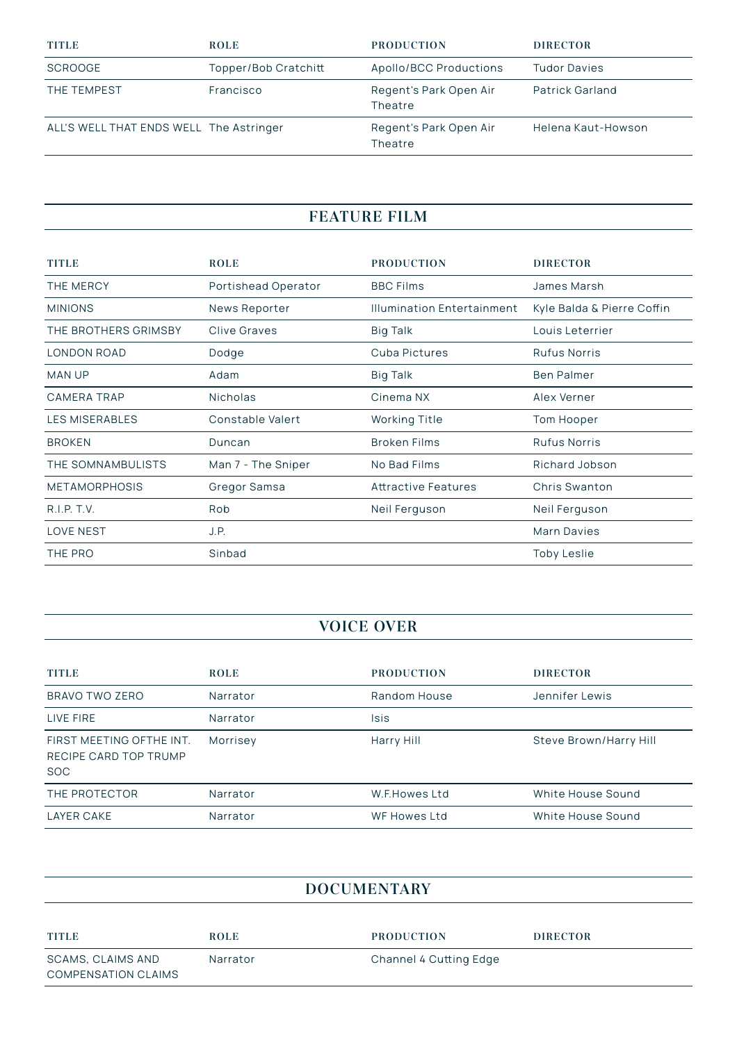| <b>TITLE</b>                            | <b>ROLE</b>          | <b>PRODUCTION</b>                 | <b>DIRECTOR</b>        |
|-----------------------------------------|----------------------|-----------------------------------|------------------------|
| <b>SCROOGE</b>                          | Topper/Bob Cratchitt | Apollo/BCC Productions            | <b>Tudor Davies</b>    |
| THE TEMPEST                             | Francisco            | Regent's Park Open Air<br>Theatre | <b>Patrick Garland</b> |
| ALL'S WELL THAT ENDS WELL The Astringer |                      | Regent's Park Open Air<br>Theatre | Helena Kaut-Howson     |

# **FEATURE FILM**

| <b>TITLE</b>          | <b>ROLE</b>         | <b>PRODUCTION</b>                 | <b>DIRECTOR</b>            |
|-----------------------|---------------------|-----------------------------------|----------------------------|
| THE MERCY             | Portishead Operator | <b>BBC Films</b>                  | James Marsh                |
| <b>MINIONS</b>        | News Reporter       | <b>Illumination Entertainment</b> | Kyle Balda & Pierre Coffin |
| THE BROTHERS GRIMSBY  | Clive Graves        | Big Talk                          | Louis Leterrier            |
| LONDON ROAD           | Dodge               | Cuba Pictures                     | <b>Rufus Norris</b>        |
| <b>MAN UP</b>         | Adam                | Big Talk                          | <b>Ben Palmer</b>          |
| CAMERA TRAP           | Nicholas            | Cinema NX                         | Alex Verner                |
| <b>LES MISERABLES</b> | Constable Valert    | <b>Working Title</b>              | Tom Hooper                 |
| <b>BROKEN</b>         | Duncan              | <b>Broken Films</b>               | <b>Rufus Norris</b>        |
| THE SOMNAMBULISTS     | Man 7 - The Sniper  | No Bad Films                      | Richard Jobson             |
| <b>METAMORPHOSIS</b>  | Gregor Samsa        | <b>Attractive Features</b>        | Chris Swanton              |
| R.I.P. T.V.           | Rob                 | Neil Ferguson                     | Neil Ferguson              |
| <b>LOVE NEST</b>      | J.P.                |                                   | Marn Davies                |
| THE PRO               | Sinbad              |                                   | <b>Toby Leslie</b>         |

#### **VOICE OVER**

| <b>TITLE</b>                                                    | <b>ROLE</b> | <b>PRODUCTION</b> | <b>DIRECTOR</b>        |
|-----------------------------------------------------------------|-------------|-------------------|------------------------|
| BRAVO TWO ZERO                                                  | Narrator    | Random House      | Jennifer Lewis         |
| LIVE FIRE                                                       | Narrator    | Isis              |                        |
| FIRST MEETING OFTHE INT.<br>RECIPE CARD TOP TRUMP<br><b>SOC</b> | Morrisey    | Harry Hill        | Steve Brown/Harry Hill |
| THE PROTECTOR                                                   | Narrator    | W.F.Howes Ltd     | White House Sound      |
| LAYER CAKE                                                      | Narrator    | WF Howes Ltd      | White House Sound      |

| <b>DOCUMENTARY</b>                              |             |                        |                 |  |
|-------------------------------------------------|-------------|------------------------|-----------------|--|
| <b>TITLE</b>                                    | <b>ROLE</b> | <b>PRODUCTION</b>      | <b>DIRECTOR</b> |  |
| SCAMS, CLAIMS AND<br><b>COMPENSATION CLAIMS</b> | Narrator    | Channel 4 Cutting Edge |                 |  |